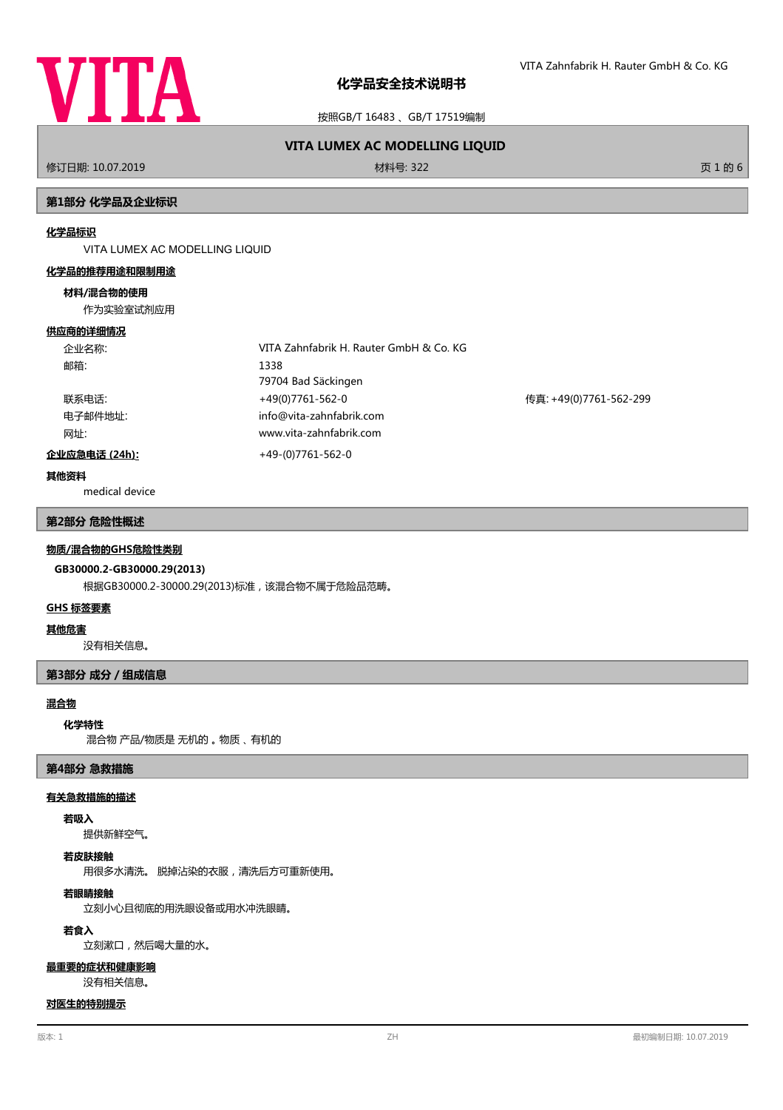

按照GB/T 16483 、GB/T 17519编制

# **VITA LUMEX AC MODELLING LIQUID**

修订日期: 10.07.2019 材料号: 322 页 1 的 6

# **第1部分 化学品及企业标识**

### **化学品标识**

VITA LUMEX AC MODELLING LIQUID

### **化学品的推荐用途和限制用途**

### **材料/混合物的使用**

作为实验室试剂应用

### **供应商的详细情况**

| 企业名称:                 | VITA Zahnfabrik H. Rauter GmbH & Co. KG |                        |
|-----------------------|-----------------------------------------|------------------------|
| 邮箱:                   | 1338                                    |                        |
|                       | 79704 Bad Säckingen                     |                        |
| 联系电话:                 | +49(0)7761-562-0                        | 传真: +49(0)7761-562-299 |
| 电子邮件地址:               | info@vita-zahnfabrik.com                |                        |
| 网址:                   | www.vita-zahnfabrik.com                 |                        |
| <u> 企业应急电话 (24h):</u> | $+49-(0)7761-562-0$                     |                        |

#### **其他资料**

medical device

## **第2部分 危险性概述**

### **物质/混合物的GHS危险性类别**

# **GB30000.2-GB30000.29(2013)**

根据GB30000.2-30000.29(2013)标准,该混合物不属于危险品范畴。

### **GHS 标签要素**

### **其他危害**

没有相关信息。

# **第3部分 成分/组成信息**

# **混合物**

# **化学特性**

混合物 产品/物质是 无机的 。 物质 、 有机的

# **第4部分 急救措施**

## **有关急救措施的描述**

# **若吸入**

提供新鲜空气。

# **若皮肤接触**

用很多水清洗。 脱掉沾染的衣服,清洗后方可重新使用。

# **若眼睛接触**

立刻小心且彻底的用洗眼设备或用水冲洗眼睛。

# **若食入**

立刻漱口,然后喝大量的水。

#### **最重要的症状和健康影响**

没有相关信息。

### **对医生的特别提示**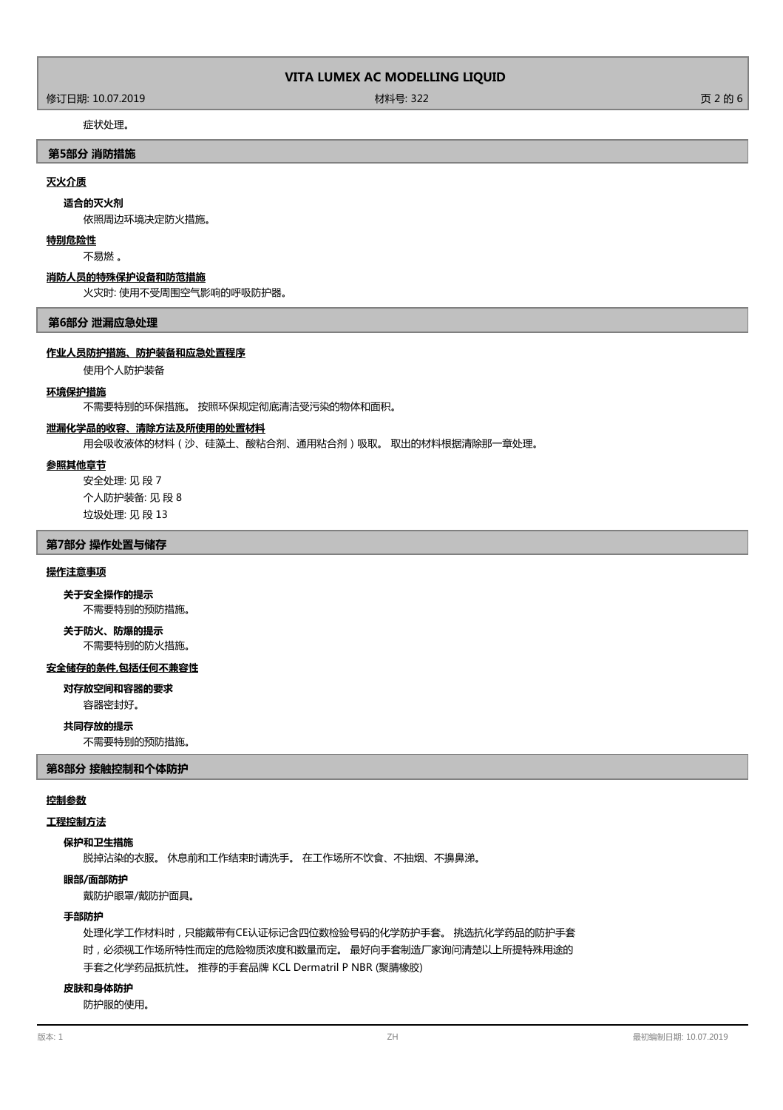修订日期: 10.07.2019 材料号: 322 页 2 的 6

# 症状处理。

## **第5部分 消防措施**

# **灭火介质**

## **适合的灭火剂**

依照周边环境决定防火措施。

### **特别危险性**

不易燃 。

### **消防人员的特殊保护设备和防范措施**

火灾时: 使用不受周围空气影响的呼吸防护器。

### **第6部分 泄漏应急处理**

# **作业人员防护措施、防护装备和应急处置程序**

使用个人防护装备

### **环境保护措施**

不需要特别的环保措施。 按照环保规定彻底清洁受污染的物体和面积。

# **泄漏化学品的收容、清除方法及所使用的处置材料**

用会吸收液体的材料(沙、硅藻土、酸粘合剂、通用粘合剂)吸取。 取出的材料根据清除那一章处理。

# **参照其他章节**

安全处理: 见 段 7 个人防护装备: 见 段 8 垃圾处理: 见 段 13

# **第7部分 操作处置与储存**

## **操作注意事项**

**关于安全操作的提示**

不需要特别的预防措施。

### 不需要特别的防火措施。 **关于防火、防爆的提示**

### **安全储存的条件,包括任何不兼容性**

**对存放空间和容器的要求**

容器密封好。

# **共同存放的提示**

不需要特别的预防措施。

### **第8部分 接触控制和个体防护**

# **控制参数**

# **工程控制方法**

# **保护和卫生措施**

脱掉沾染的衣服。 休息前和工作结束时请洗手。 在工作场所不饮食、不抽烟、不擤鼻涕。

**眼部/面部防护**

戴防护眼罩/戴防护面具。

### **手部防护**

处理化学工作材料时,只能戴带有CE认证标记含四位数检验号码的化学防护手套。 挑选抗化学药品的防护手套 时,必须视工作场所特性而定的危险物质浓度和数量而定。 最好向手套制造厂家询问清楚以上所提特殊用途的 手套之化学药品抵抗性。 推荐的手套品牌 KCL Dermatril P NBR (聚腈橡胶)

# **皮肤和身体防护**

防护服的使用。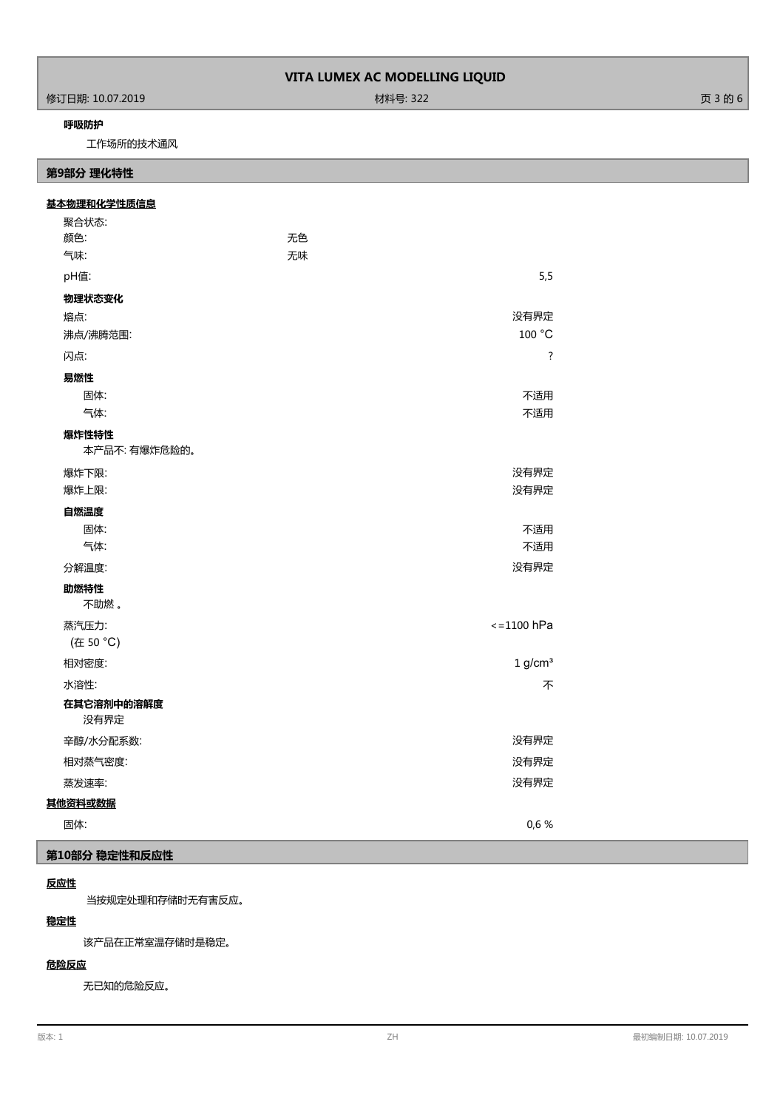修订日期: 10.07.2019 材料号: 322 页 3 的 6

# **呼吸防护**

工作场所的技术通风

# **第9部分 理化特性**

# 无色 聚合状态: 颜色: **基本物理和化学性质信息 气味: こんじょう こうしょう こうしょう こうしょう 元味** pH值: 5,5 **物理状态变化** 熔点: 没有界定 沸点/沸腾范围: 100 °C 闪点: ? **易燃性** 固体: フィング こうしょう しょうしょう しょうしょう しょうしょう しょうしょう こうしょう 不适用 气体: ファイン アンディスク しょうしょう しょうしょう しょうしょう しょうしょう アイエント 不适用 本产品不: 有爆炸危险的。 **爆炸性特性** 爆炸下限: 没有界定 爆炸上限: 没有界定 **自燃温度** 固体: フィング こうしょう しょうしょう しょうしょう しょうしょう しょうしょう こうしょう 不适用 气体: 不适用 分解温度: 没有界定 不助燃 。 **助燃特性 蒸汽压力: ファンス しょうしょう しょうしょう しょうしょう あいしゃ かいしゃ しょうしゅう しょうしゅう くうりん トランス しょうしょう**  (在 50 °C) 相对密度: 1 g/cm³ 水溶性: 不 **在其它溶剂中的溶解度** 没有界定 辛醇/水分配系数: いちゃく しょうしゃ しょうしゃ しょうしゃ しゅうしゃ かいしゃ かいしょう おおし 冷有界定 相对蒸气密度: 没有界定 蒸发速率: 没有界定 **其他资料或数据** 固体: 0,6 %

# **第10部分 稳定性和反应性**

# **反应性**

当按规定处理和存储时无有害反应。

# **稳定性**

该产品在正常室温存储时是稳定。

# **危险反应**

无已知的危险反应。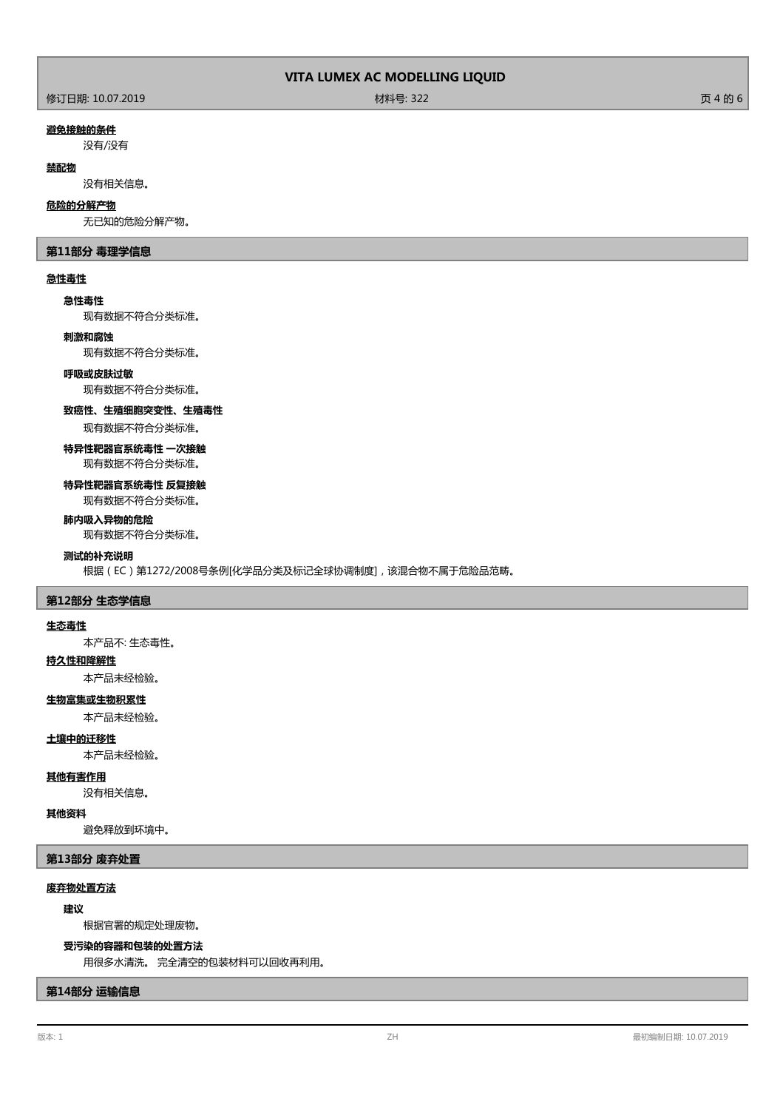### **避免接触的条件**

没有/没有

# **禁配物**

没有相关信息。

### **危险的分解产物**

无已知的危险分解产物。

## **第11部分 毒理学信息**

# **急性毒性**

**急性毒性**

现有数据不符合分类标准。

### **刺激和腐蚀**

现有数据不符合分类标准。

### **呼吸或皮肤过敏**

现有数据不符合分类标准。

### **致癌性、生殖细胞突变性、生殖毒性**

现有数据不符合分类标准。

## **特异性靶器官系统毒性 一次接触** 现有数据不符合分类标准。

**特异性靶器官系统毒性 反复接触**

# 现有数据不符合分类标准。

**肺内吸入异物的危险**

现有数据不符合分类标准。

# **测试的补充说明**

根据(EC)第1272/2008号条例[化学品分类及标记全球协调制度],该混合物不属于危险品范畴。

## **第12部分 生态学信息**

### **生态毒性**

本产品不: 生态毒性。

# **持久性和降解性**

本产品未经检验。

# **生物富集或生物积累性**

本产品未经检验。

# **土壤中的迁移性**

本产品未经检验。

# **其他有害作用**

没有相关信息。

# **其他资料**

避免释放到环境中。

# **第13部分 废弃处置**

# **废弃物处置方法**

# **建议**

根据官署的规定处理废物。

# **受污染的容器和包装的处置方法**

用很多水清洗。 完全清空的包装材料可以回收再利用。

# **第14部分 运输信息**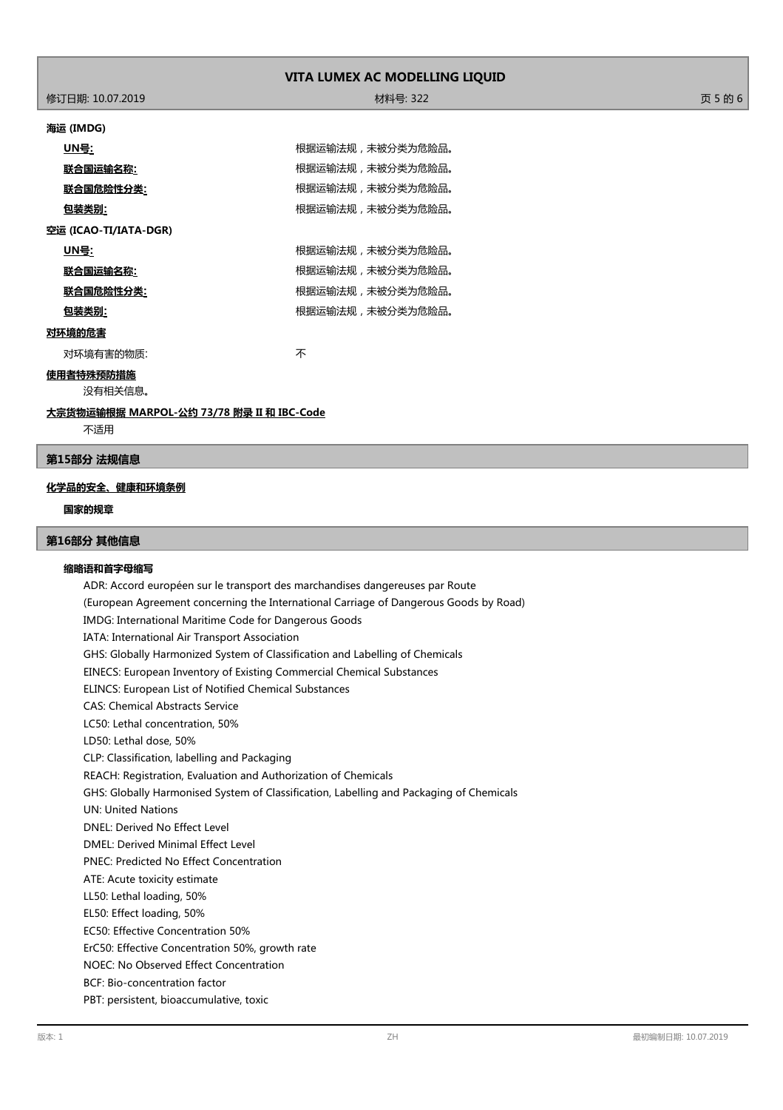修订日期: 10.07.2019 材料号: 322 页 5 的 6

### **海运 (IMDG)**

|                       | UN号:      | 根据运输法规,未被分类为危险品。 |  |
|-----------------------|-----------|------------------|--|
|                       |           |                  |  |
|                       | 联合国运输名称:  | 根据运输法规,未被分类为危险品。 |  |
|                       | 联合国危险性分类: | 根据运输法规,未被分类为危险品。 |  |
|                       | 包装类别:     | 根据运输法规,未被分类为危险品。 |  |
| 空运 (ICAO-TI/IATA-DGR) |           |                  |  |
|                       | UN号:      | 根据运输法规,未被分类为危险品。 |  |
|                       | 联合国运输名称:  | 根据运输法规,未被分类为危险品。 |  |
|                       | 联合国危险性分类: | 根据运输法规,未被分类为危险品。 |  |
|                       | 包装类别:     | 根据运输法规,未被分类为危险品。 |  |
| 对环境的危害                |           |                  |  |
|                       | 对环境有害的物质: | 不                |  |

# **使用者特殊预防措施**

没有相关信息。

**大宗货物运输根据 MARPOL-公约 73/78 附录 II 和 IBC-Code**

不适用

# **第15部分 法规信息**

# **化学品的安全、健康和环境条例**

# **国家的规章**

# **第16部分 其他信息**

### **缩略语和首字母缩写**

ADR: Accord européen sur le transport des marchandises dangereuses par Route (European Agreement concerning the International Carriage of Dangerous Goods by Road) IMDG: International Maritime Code for Dangerous Goods IATA: International Air Transport Association GHS: Globally Harmonized System of Classification and Labelling of Chemicals EINECS: European Inventory of Existing Commercial Chemical Substances ELINCS: European List of Notified Chemical Substances CAS: Chemical Abstracts Service LC50: Lethal concentration, 50% LD50: Lethal dose, 50% CLP: Classification, labelling and Packaging REACH: Registration, Evaluation and Authorization of Chemicals GHS: Globally Harmonised System of Classification, Labelling and Packaging of Chemicals UN: United Nations DNEL: Derived No Effect Level DMEL: Derived Minimal Effect Level PNEC: Predicted No Effect Concentration ATE: Acute toxicity estimate LL50: Lethal loading, 50% EL50: Effect loading, 50% EC50: Effective Concentration 50% ErC50: Effective Concentration 50%, growth rate NOEC: No Observed Effect Concentration BCF: Bio-concentration factor PBT: persistent, bioaccumulative, toxic